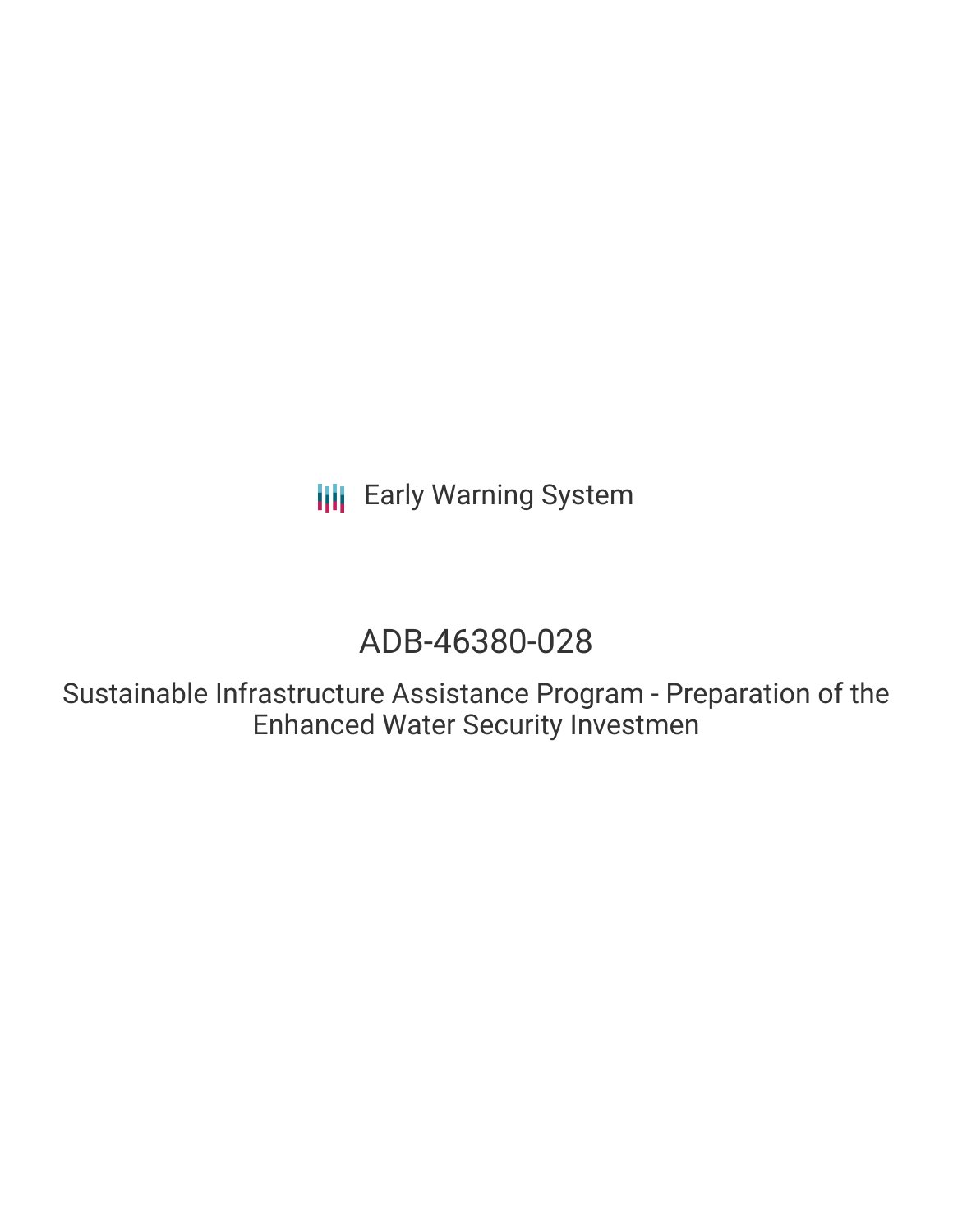**III** Early Warning System

# ADB-46380-028

Sustainable Infrastructure Assistance Program - Preparation of the Enhanced Water Security Investmen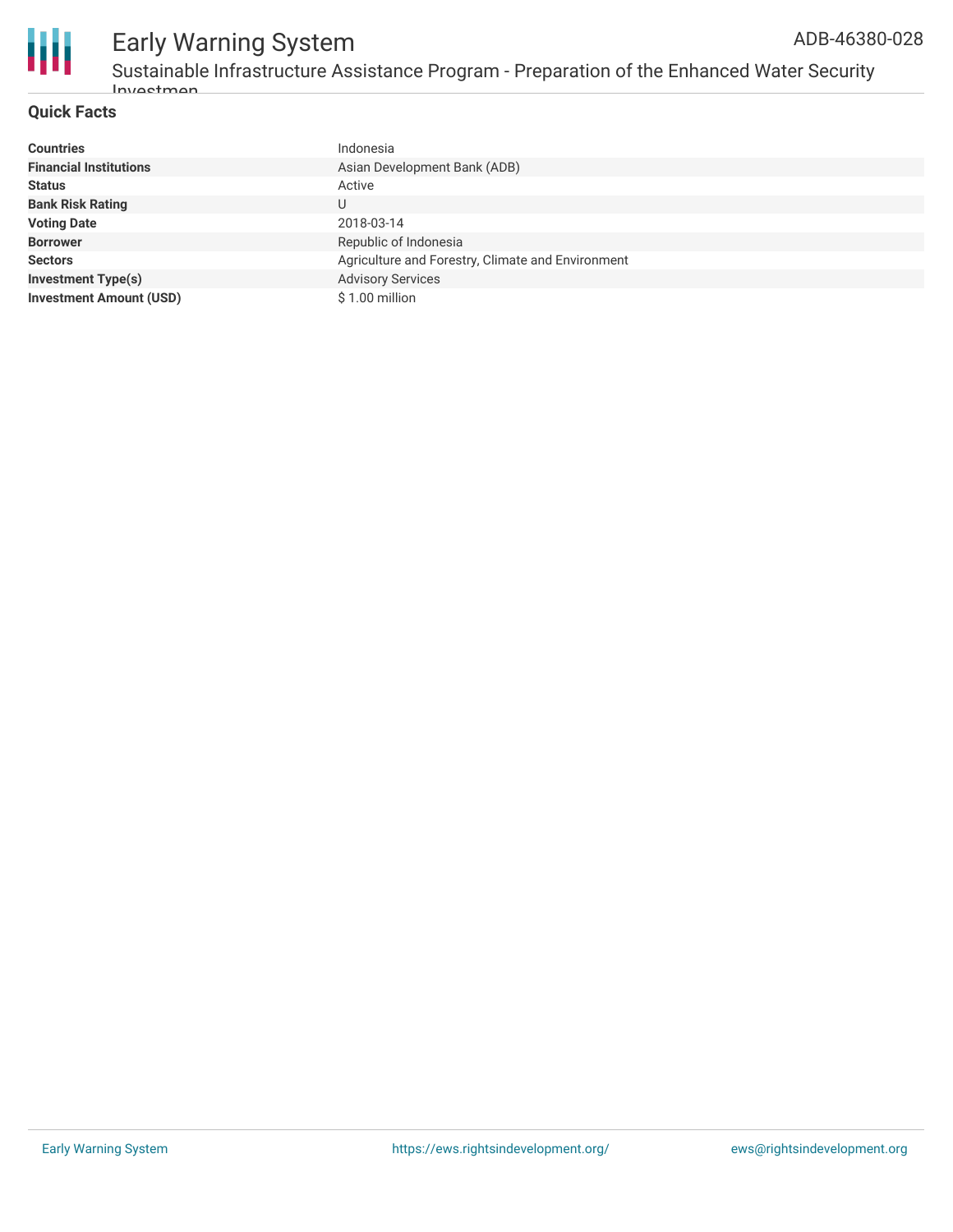

#### **Quick Facts**

| <b>Countries</b>               | Indonesia                                         |
|--------------------------------|---------------------------------------------------|
| <b>Financial Institutions</b>  | Asian Development Bank (ADB)                      |
| <b>Status</b>                  | Active                                            |
| <b>Bank Risk Rating</b>        | U                                                 |
| <b>Voting Date</b>             | 2018-03-14                                        |
| <b>Borrower</b>                | Republic of Indonesia                             |
| <b>Sectors</b>                 | Agriculture and Forestry, Climate and Environment |
| <b>Investment Type(s)</b>      | <b>Advisory Services</b>                          |
| <b>Investment Amount (USD)</b> | \$1.00 million                                    |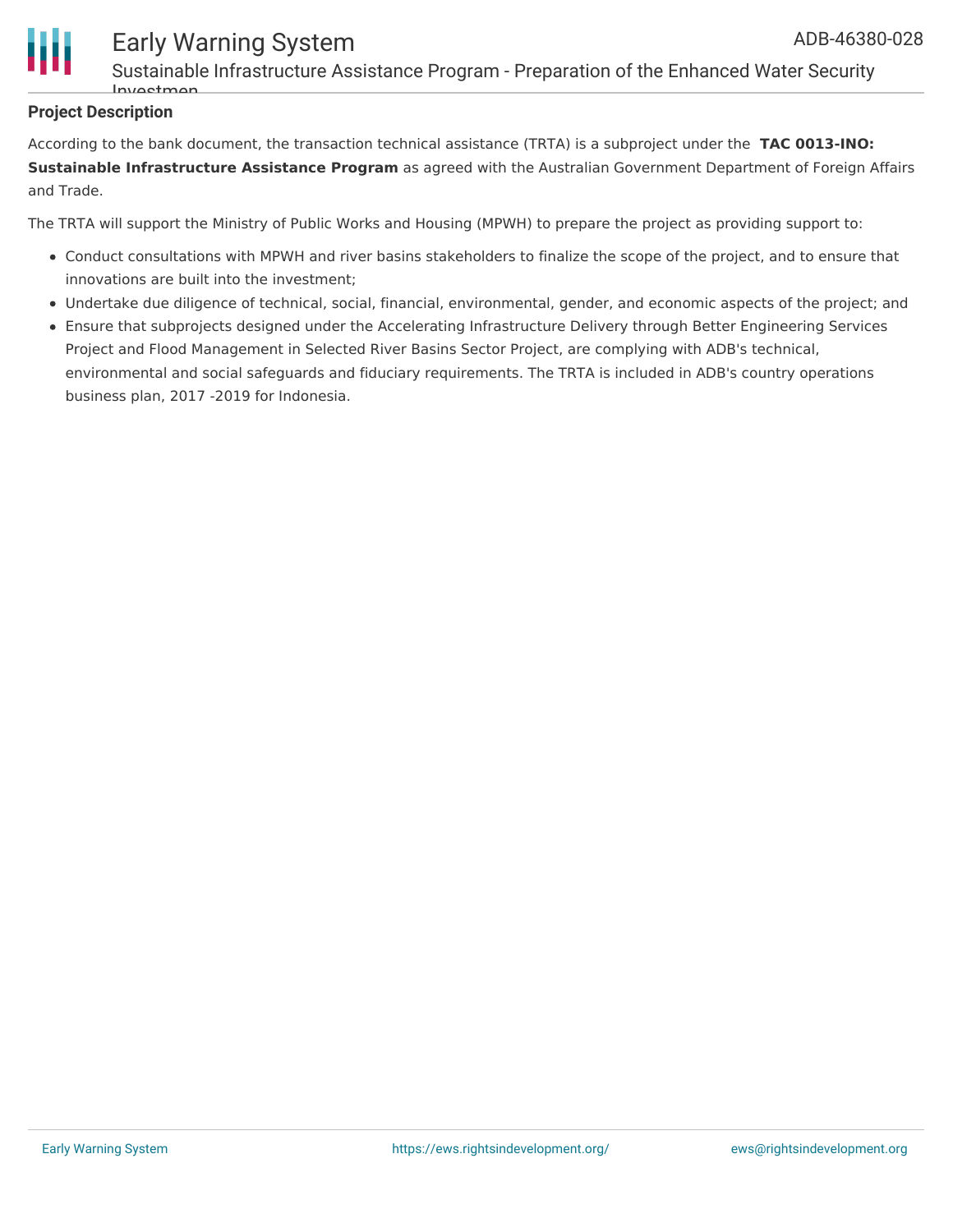

Sustainable Infrastructure Assistance Program - Preparation of the Enhanced Water Security Investment

#### **Project Description**

According to the bank document, the transaction technical assistance (TRTA) is a subproject under the **TAC 0013-INO: Sustainable Infrastructure Assistance Program** as agreed with the Australian Government Department of Foreign Affairs and Trade.

The TRTA will support the Ministry of Public Works and Housing (MPWH) to prepare the project as providing support to:

- Conduct consultations with MPWH and river basins stakeholders to finalize the scope of the project, and to ensure that innovations are built into the investment;
- Undertake due diligence of technical, social, financial, environmental, gender, and economic aspects of the project; and
- Ensure that subprojects designed under the Accelerating Infrastructure Delivery through Better Engineering Services Project and Flood Management in Selected River Basins Sector Project, are complying with ADB's technical, environmental and social safeguards and fiduciary requirements. The TRTA is included in ADB's country operations business plan, 2017 -2019 for Indonesia.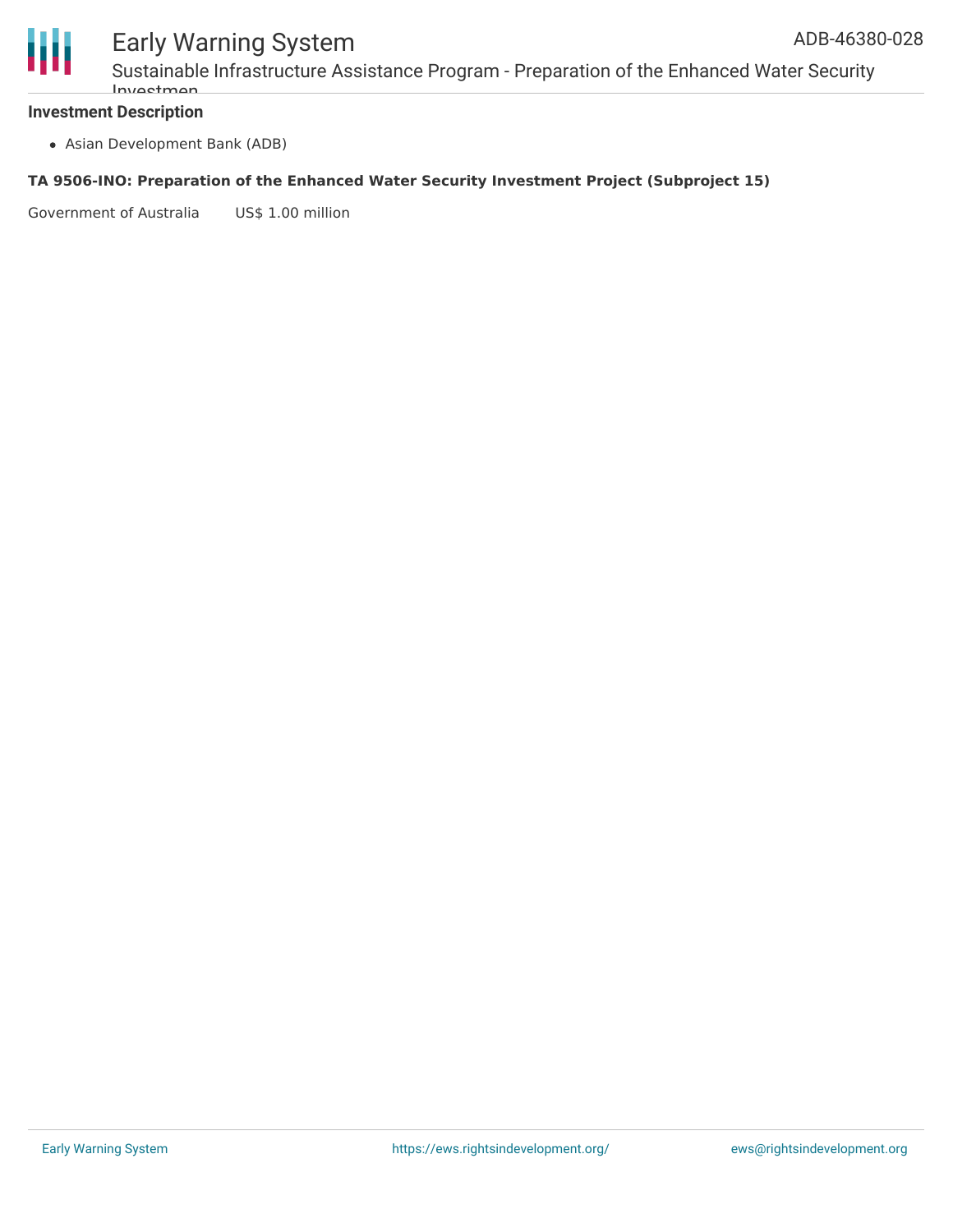

### Early Warning System

Sustainable Infrastructure Assistance Program - Preparation of the Enhanced Water Security Investm

#### **Investment Description**

Asian Development Bank (ADB)

#### **TA 9506-INO: Preparation of the Enhanced Water Security Investment Project (Subproject 15)**

Government of Australia US\$ 1.00 million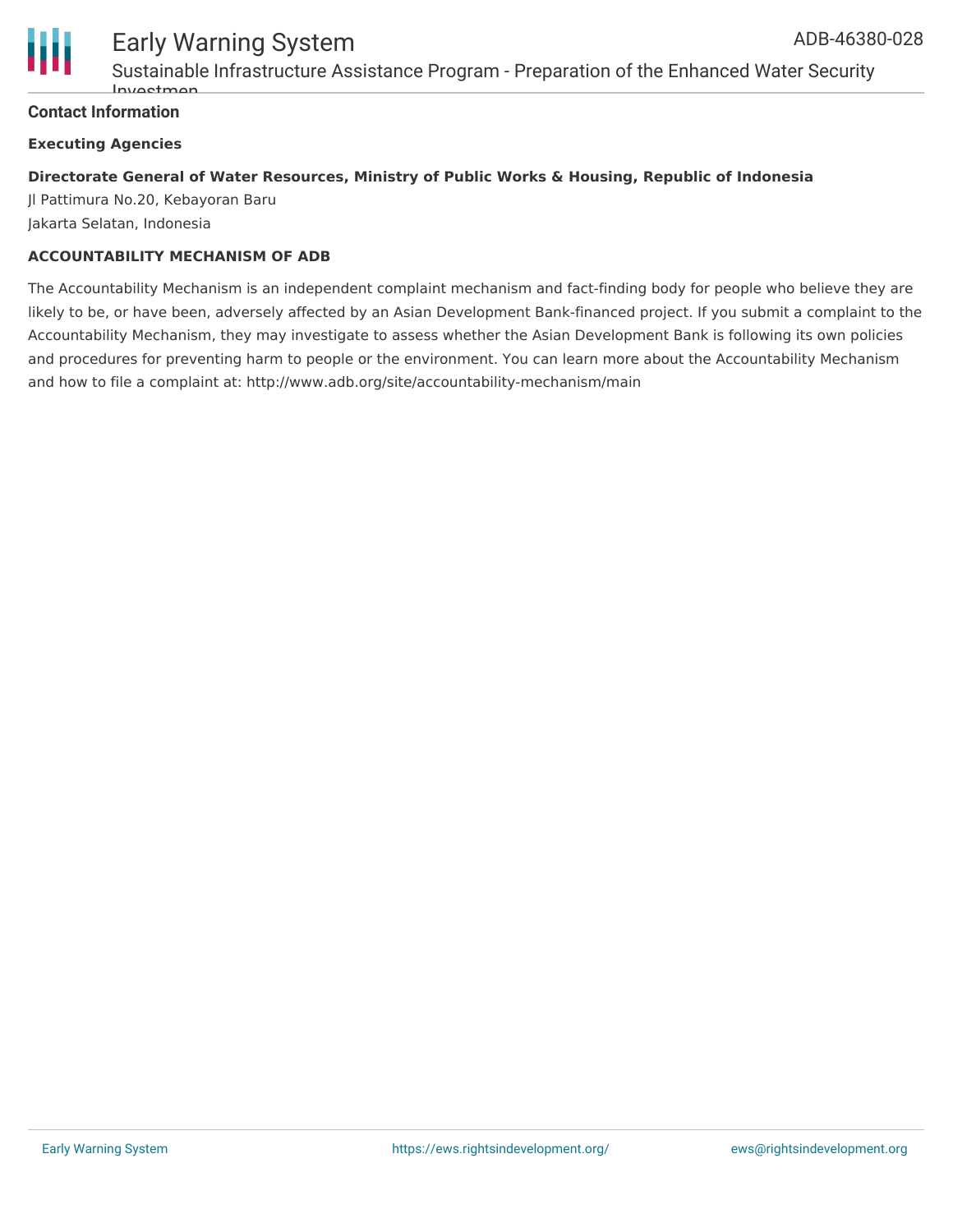

Sustainable Infrastructure Assistance Program - Preparation of the Enhanced Water Security  $Invol<sub>0</sub>$ 

#### **Contact Information**

#### **Executing Agencies**

#### **Directorate General of Water Resources, Ministry of Public Works & Housing, Republic of Indonesia**

Jl Pattimura No.20, Kebayoran Baru Jakarta Selatan, Indonesia

#### **ACCOUNTABILITY MECHANISM OF ADB**

The Accountability Mechanism is an independent complaint mechanism and fact-finding body for people who believe they are likely to be, or have been, adversely affected by an Asian Development Bank-financed project. If you submit a complaint to the Accountability Mechanism, they may investigate to assess whether the Asian Development Bank is following its own policies and procedures for preventing harm to people or the environment. You can learn more about the Accountability Mechanism and how to file a complaint at: http://www.adb.org/site/accountability-mechanism/main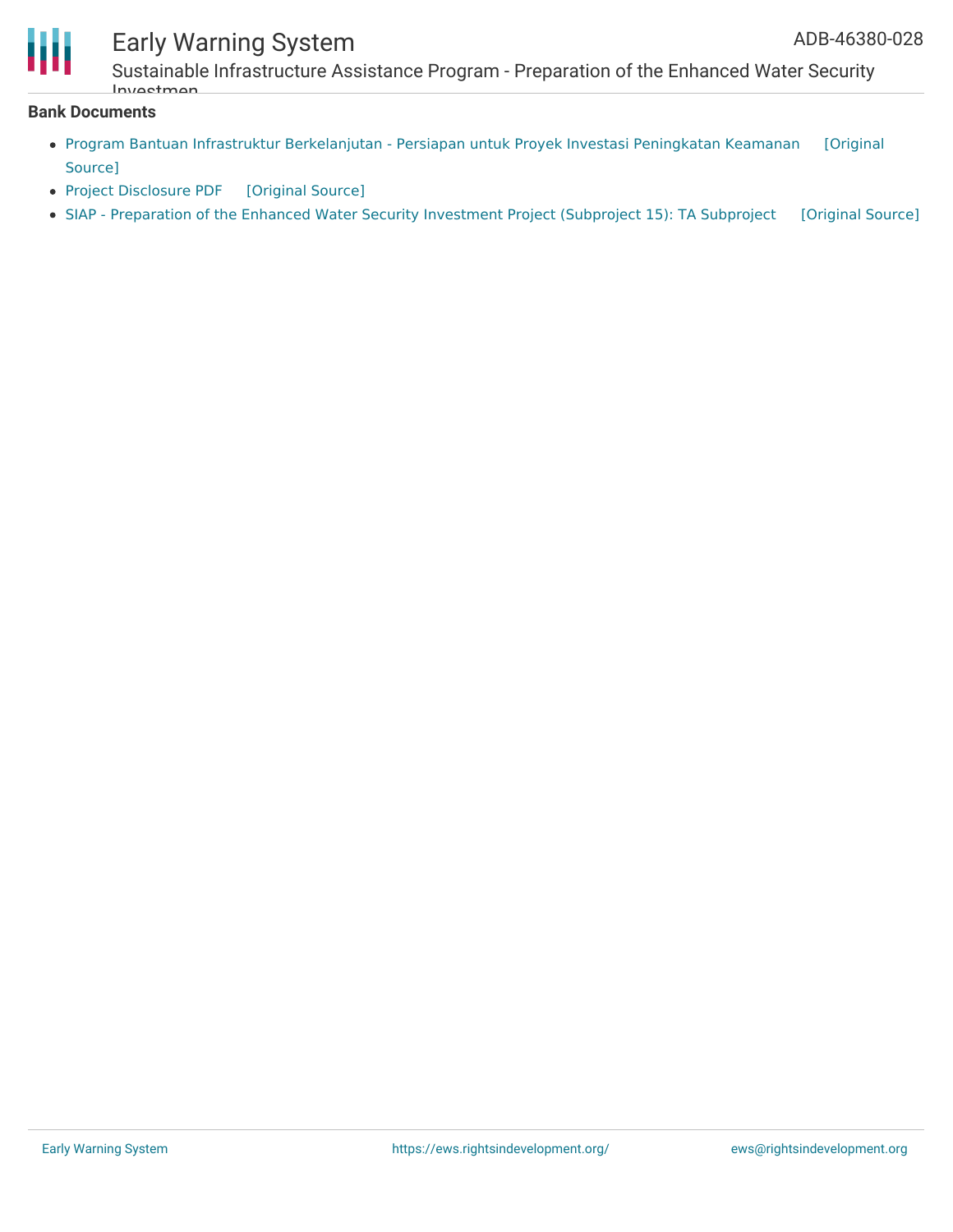

### Early Warning System

Sustainable Infrastructure Assistance Program - Preparation of the Enhanced Water Security Investmen

#### **Bank Documents**

- Program Bantuan Infrastruktur [Berkelanjutan](https://ewsdata.rightsindevelopment.org/files/documents/28/ADB-46380-028_rKmAhfp.pdf) Persiapan untuk Proyek Investasi Peningkatan Keamanan [Original Source]
- Project [Disclosure](https://ewsdata.rightsindevelopment.org/files/documents/28/ADB-46380-028.pdf) PDF [\[Original](https://www.adb.org/printpdf/projects/46380-028/main) Source]
- SIAP [Preparation](https://ewsdata.rightsindevelopment.org/files/documents/28/ADB-46380-028_eRdAXCK.pdf) of the Enhanced Water Security Investment Project (Subproject 15): TA Subproject [\[Original](https://www.adb.org/projects/documents/ino-46380-028-tasp) Source]